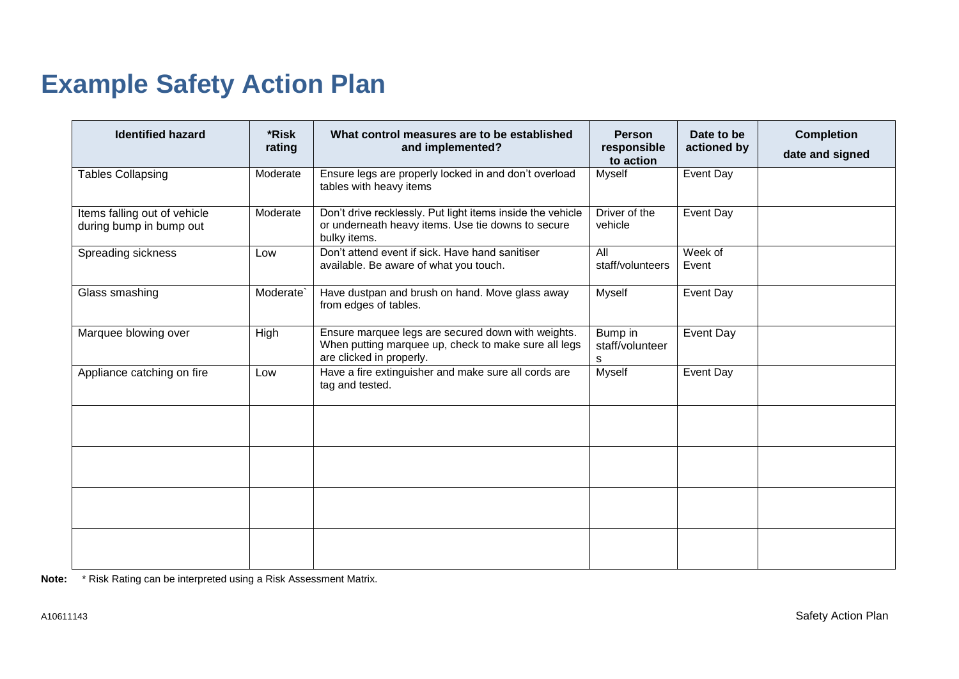## **Example Safety Action Plan**

| <b>Identified hazard</b>                                | *Risk<br>rating | What control measures are to be established<br>and implemented?                                                                        | <b>Person</b><br>responsible<br>to action | Date to be<br>actioned by | <b>Completion</b><br>date and signed |
|---------------------------------------------------------|-----------------|----------------------------------------------------------------------------------------------------------------------------------------|-------------------------------------------|---------------------------|--------------------------------------|
| <b>Tables Collapsing</b>                                | Moderate        | Ensure legs are properly locked in and don't overload<br>tables with heavy items                                                       | <b>Myself</b>                             | Event Day                 |                                      |
| Items falling out of vehicle<br>during bump in bump out | Moderate        | Don't drive recklessly. Put light items inside the vehicle<br>or underneath heavy items. Use tie downs to secure<br>bulky items.       | Driver of the<br>vehicle                  | Event Day                 |                                      |
| Spreading sickness                                      | Low             | Don't attend event if sick. Have hand sanitiser<br>available. Be aware of what you touch.                                              | $\overline{All}$<br>staff/volunteers      | Week of<br>Event          |                                      |
| Glass smashing                                          | Moderate`       | Have dustpan and brush on hand. Move glass away<br>from edges of tables.                                                               | Myself                                    | Event Day                 |                                      |
| Marquee blowing over                                    | High            | Ensure marquee legs are secured down with weights.<br>When putting marquee up, check to make sure all legs<br>are clicked in properly. | Bump in<br>staff/volunteer<br>s           | Event Day                 |                                      |
| Appliance catching on fire                              | Low             | Have a fire extinguisher and make sure all cords are<br>tag and tested.                                                                | Myself                                    | Event Day                 |                                      |
|                                                         |                 |                                                                                                                                        |                                           |                           |                                      |
|                                                         |                 |                                                                                                                                        |                                           |                           |                                      |
|                                                         |                 |                                                                                                                                        |                                           |                           |                                      |
|                                                         |                 |                                                                                                                                        |                                           |                           |                                      |

**Note:** \* Risk Rating can be interpreted using a Risk Assessment Matrix.